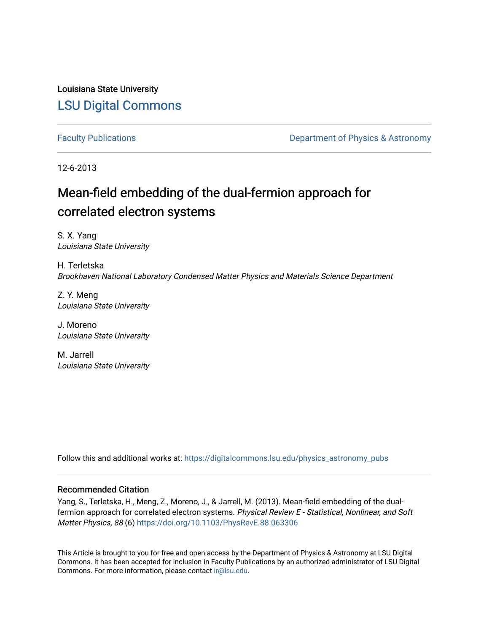Louisiana State University [LSU Digital Commons](https://digitalcommons.lsu.edu/)

[Faculty Publications](https://digitalcommons.lsu.edu/physics_astronomy_pubs) **Exercise 2 and Table 2 and Table 2 and Table 2 and Table 2 and Table 2 and Table 2 and Table 2 and Table 2 and Table 2 and Table 2 and Table 2 and Table 2 and Table 2 and Table 2 and Table 2 and Table** 

12-6-2013

# Mean-field embedding of the dual-fermion approach for correlated electron systems

S. X. Yang Louisiana State University

H. Terletska Brookhaven National Laboratory Condensed Matter Physics and Materials Science Department

Z. Y. Meng Louisiana State University

J. Moreno Louisiana State University

M. Jarrell Louisiana State University

Follow this and additional works at: [https://digitalcommons.lsu.edu/physics\\_astronomy\\_pubs](https://digitalcommons.lsu.edu/physics_astronomy_pubs?utm_source=digitalcommons.lsu.edu%2Fphysics_astronomy_pubs%2F3592&utm_medium=PDF&utm_campaign=PDFCoverPages) 

## Recommended Citation

Yang, S., Terletska, H., Meng, Z., Moreno, J., & Jarrell, M. (2013). Mean-field embedding of the dualfermion approach for correlated electron systems. Physical Review E - Statistical, Nonlinear, and Soft Matter Physics, 88 (6) <https://doi.org/10.1103/PhysRevE.88.063306>

This Article is brought to you for free and open access by the Department of Physics & Astronomy at LSU Digital Commons. It has been accepted for inclusion in Faculty Publications by an authorized administrator of LSU Digital Commons. For more information, please contact [ir@lsu.edu](mailto:ir@lsu.edu).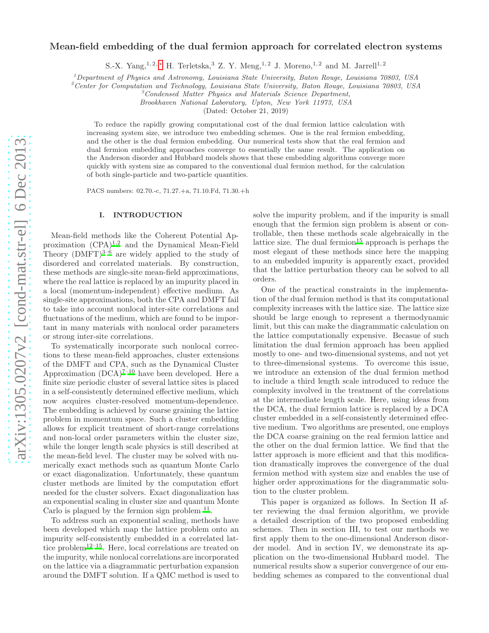## Mean-field embedding of the dual fermion approach for correlated electron systems

S.-X. Yang,<sup>1, 2,\*</sup> H. Terletska,<sup>3</sup> Z. Y. Meng,<sup>1,2</sup> J. Moreno,<sup>1,2</sup> and M. Jarrell<sup>1,2</sup>

<sup>1</sup>Department of Physics and Astronomy, Louisiana State University, Baton Rouge, Louisiana 70803, USA

 ${}^{2}$ Center for Computation and Technology, Louisiana State University, Baton Rouge, Louisiana 70803, USA

 $3$ Condensed Matter Physics and Materials Science Department,

Brookhaven National Laboratory, Upton, New York 11973, USA

(Dated: October 21, 2019)

To reduce the rapidly growing computational cost of the dual fermion lattice calculation with increasing system size, we introduce two embedding schemes. One is the real fermion embedding, and the other is the dual fermion embedding. Our numerical tests show that the real fermion and dual fermion embedding approaches converge to essentially the same result. The application on the Anderson disorder and Hubbard models shows that these embedding algorithms converge more quickly with system size as compared to the conventional dual fermion method, for the calculation of both single-particle and two-particle quantities.

PACS numbers: 02.70.-c, 71.27.+a, 71.10.Fd, 71.30.+h

#### I. INTRODUCTION

Mean-field methods like the Coherent Potential Approximation  $(CPA)^{1,2}$  $(CPA)^{1,2}$  $(CPA)^{1,2}$  $(CPA)^{1,2}$  and the Dynamical Mean-Field Theory  $(DMFT)^{3-6}$  $(DMFT)^{3-6}$  $(DMFT)^{3-6}$  are widely applied to the study of disordered and correlated materials. By construction, these methods are single-site mean-field approximations, where the real lattice is replaced by an impurity placed in a local (momentum-independent) effective medium. As single-site approximations, both the CPA and DMFT fail to take into account nonlocal inter-site correlations and fluctuations of the medium, which are found to be important in many materials with nonlocal order parameters or strong inter-site correlations.

To systematically incorporate such nonlocal corrections to these mean-field approaches, cluster extensions of the DMFT and CPA, such as the Dynamical Cluster Approximation  $(DCA)^{7-10}$  $(DCA)^{7-10}$  $(DCA)^{7-10}$  have been developed. Here a finite size periodic cluster of several lattice sites is placed in a self-consistently determined effective medium, which now acquires cluster-resolved momentum-dependence. The embedding is achieved by coarse graining the lattice problem in momentum space. Such a cluster embedding allows for explicit treatment of short-range correlations and non-local order parameters within the cluster size, while the longer length scale physics is still described at the mean-field level. The cluster may be solved with numerically exact methods such as quantum Monte Carlo or exact diagonalization. Unfortunately, these quantum cluster methods are limited by the computation effort needed for the cluster solvers. Exact diagonalization has an exponential scaling in cluster size and quantum Monte Carlo is plagued by the fermion sign problem  $^{11}$  $^{11}$  $^{11}$ .

To address such an exponential scaling, methods have been developed which map the lattice problem onto an impurity self-consistently embedded in a correlated lattice problem[12](#page-10-8)[–15](#page-10-9). Here, local correlations are treated on the impurity, while nonlocal correlations are incorporated on the lattice via a diagrammatic perturbation expansion around the DMFT solution. If a QMC method is used to solve the impurity problem, and if the impurity is small enough that the fermion sign problem is absent or controllable, then these methods scale algebraically in the lattice size. The dual fermion<sup>[15](#page-10-9)</sup> approach is perhaps the most elegant of these methods since here the mapping to an embedded impurity is apparently exact, provided that the lattice perturbation theory can be solved to all orders.

One of the practical constraints in the implementation of the dual fermion method is that its computational complexity increases with the lattice size. The lattice size should be large enough to represent a thermodynamic limit, but this can make the diagrammatic calculation on the lattice computationally expensive. Becasue of such limitation the dual fermion approach has been applied mostly to one- and two-dimensional systems, and not yet to three-dimensional systems. To overcome this issue, we introduce an extension of the dual fermion method to include a third length scale introduced to reduce the complexity involved in the treatment of the correlations at the intermediate length scale. Here, using ideas from the DCA, the dual fermion lattice is replaced by a DCA cluster embedded in a self-consistently determined effective medium. Two algorithms are presented, one employs the DCA coarse graining on the real fermion lattice and the other on the dual fermion lattice. We find that the latter approach is more efficient and that this modification dramatically improves the convergence of the dual fermion method with system size and enables the use of higher order approximations for the diagrammatic solution to the cluster problem.

This paper is organized as follows. In Section II after reviewing the dual fermion algorithm, we provide a detailed description of the two proposed embedding schemes. Then in section III, to test our methods we first apply them to the one-dimensional Anderson disorder model. And in section IV, we demonstrate its application on the two-dimensional Hubbard model. The numerical results show a superior convergence of our embedding schemes as compared to the conventional dual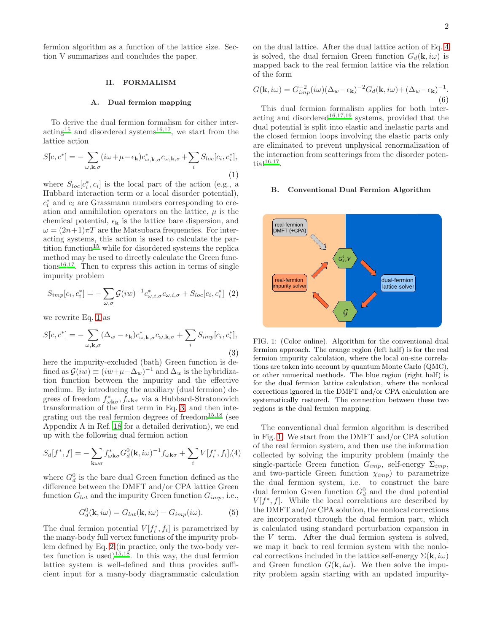fermion algorithm as a function of the lattice size. Section V summarizes and concludes the paper.

#### II. FORMALISM

#### A. Dual fermion mapping

To derive the dual fermion formalism for either inter-acting<sup>[15](#page-10-9)</[s](#page-10-10)up> and disordered systems<sup>16[,17](#page-10-11)</sup>, we start from the lattice action

<span id="page-2-0"></span>
$$
S[c, c^*] = -\sum_{\omega, \mathbf{k}, \sigma} (i\omega + \mu - \epsilon_{\mathbf{k}}) c^*_{\omega, \mathbf{k}, \sigma} c_{\omega, \mathbf{k}, \sigma} + \sum_i S_{loc}[c_i, c^*_{i}],
$$
\n(1)

where  $S_{loc}[c_i^*, c_i]$  is the local part of the action (e.g., a Hubbard interaction term or a local disorder potential),  $c_i^*$  and  $c_i$  are Grassmann numbers corresponding to creation and annihilation operators on the lattice,  $\mu$  is the chemical potential,  $\epsilon_{\mathbf{k}}$  is the lattice bare dispersion, and  $\omega = (2n+1)\pi T$  are the Matsubara frequencies. For interacting systems, this action is used to calculate the par-tition function<sup>[15](#page-10-9)</sup> while for disordered systems the replica method may be used to directly calculate the Green func-tions<sup>[16](#page-10-10)[,17](#page-10-11)</sup>. Then to express this action in terms of single impurity problem

<span id="page-2-2"></span>
$$
S_{imp}[c_i, c_i^*] = -\sum_{\omega,\sigma} \mathcal{G}(iw)^{-1} c_{\omega,i,\sigma}^* c_{\omega,i,\sigma} + S_{loc}[c_i, c_i^*] \tag{2}
$$

we rewrite Eq. [1](#page-2-0) as

<span id="page-2-1"></span>
$$
S[c, c^*] = -\sum_{\omega, \mathbf{k}, \sigma} (\Delta_w - \epsilon_{\mathbf{k}}) c^*_{\omega, \mathbf{k}, \sigma} c_{\omega, \mathbf{k}, \sigma} + \sum_i S_{imp}[c_i, c^*_i],
$$
\n(3)

here the impurity-excluded (bath) Green function is defined as  $\mathcal{G}(iw) \equiv (iw + \mu - \Delta_w)^{-1}$  and  $\Delta_w$  is the hybridization function between the impurity and the effective medium. By introducing the auxiliary (dual fermion) degrees of freedom  $f^*_{\omega{\bf k}\sigma}, f_{\omega{\bf k}\sigma}$  via a Hubbard-Stratonovich transformation of the first term in Eq. [3,](#page-2-1) and then integrating out the real fer[m](#page-10-9)ion degrees of freedom<sup>15[,18](#page-10-12)</sup> (see Appendix A in Ref. [18](#page-10-12) for a detailed derivation), we end up with the following dual fermion action

<span id="page-2-3"></span>
$$
S_d[f^*,f] = -\sum_{\mathbf{k}\omega\sigma} f^*_{\omega\mathbf{k}\sigma} G_d^0(\mathbf{k}, i\omega)^{-1} f_{\omega\mathbf{k}\sigma} + \sum_i V[f_i^*, f_i],
$$
(4)

where  $G_d^0$  is the bare dual Green function defined as the difference between the DMFT and/or CPA lattice Green function  $G_{lat}$  and the impurity Green function  $G_{imp}$ , i.e.,

<span id="page-2-5"></span>
$$
G_d^0(\mathbf{k}, i\omega) = G_{lat}(\mathbf{k}, i\omega) - G_{imp}(i\omega).
$$
 (5)

The dual fermion potential  $V[f_i^*, f_i]$  is parametrized by the many-body full vertex functions of the impurity problem defined by Eq. [2](#page-2-2) (in practice, only the two-body ver-tex function is used)<sup>[15](#page-10-9)[,18](#page-10-12)</sup>. In this way, the dual fermion lattice system is well-defined and thus provides sufficient input for a many-body diagrammatic calculation

on the dual lattice. After the dual lattice action of Eq. [4](#page-2-3) is solved, the dual fermion Green function  $G_d(\mathbf{k}, i\omega)$  is mapped back to the real fermion lattice via the relation of the form

<span id="page-2-6"></span>
$$
G(\mathbf{k}, i\omega) = G_{imp}^{-2}(i\omega)(\Delta_w - \epsilon_{\mathbf{k}})^{-2} G_d(\mathbf{k}, i\omega) + (\Delta_w - \epsilon_{\mathbf{k}})^{-1}.
$$
\n(6)

This dual fermion formalism applies for both inter-acting and disordered<sup>[16](#page-10-10)[,17](#page-10-11)[,19](#page-10-13)</sup> systems, provided that the dual potential is split into elastic and inelastic parts and the closed fermion loops involving the elastic parts only are eliminated to prevent unphysical renormalization of the interaction from scatterings from the disorder poten- $\text{tail}^{16,17}.$  $\text{tail}^{16,17}.$  $\text{tail}^{16,17}.$  $\text{tail}^{16,17}.$ 

#### B. Conventional Dual Fermion Algorithm



<span id="page-2-4"></span>FIG. 1: (Color online). Algorithm for the conventional dual fermion approach. The orange region (left half) is for the real fermion impurity calculation, where the local on-site correlations are taken into account by quantum Monte Carlo (QMC), or other numerical methods. The blue region (right half) is for the dual fermion lattice calculation, where the nonlocal corrections ignored in the DMFT and/or CPA calculation are systematically restored. The connection between these two regions is the dual fermion mapping.

The conventional dual fermion algorithm is described in Fig. [1.](#page-2-4) We start from the DMFT and/or CPA solution of the real fermion system, and then use the information collected by solving the impurity problem (mainly the single-particle Green function  $G_{imp}$ , self-energy  $\Sigma_{imp}$ , and two-particle Green function  $\chi_{imp}$ ) to parametrize the dual fermion system, i.e. to construct the bare dual fermion Green function  $G_d^0$  and the dual potential  $V[f^*, f]$ . While the local correlations are described by the DMFT and/or CPA solution, the nonlocal corrections are incorporated through the dual fermion part, which is calculated using standard perturbation expansion in the V term. After the dual fermion system is solved, we map it back to real fermion system with the nonlocal corrections included in the lattice self-energy  $\Sigma(\mathbf{k}, i\omega)$ and Green function  $G(\mathbf{k}, i\omega)$ . We then solve the impurity problem again starting with an updated impurity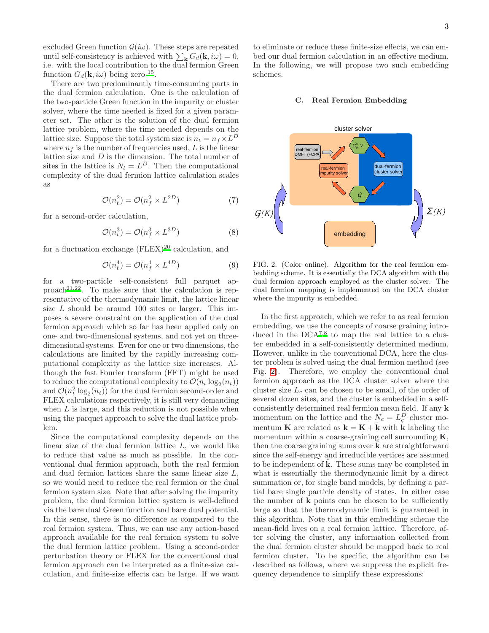excluded Green function  $\mathcal{G}(i\omega)$ . These steps are repeated until self-consistency is achieved with  $\sum_{\mathbf{k}} G_d(\mathbf{k}, i\omega) = 0$ , i.e. with the local contribution to the dual fermion Green function  $G_d(\mathbf{k}, i\omega)$  being zero <sup>[15](#page-10-9)</sup>.

There are two predominantly time-consuming parts in the dual fermion calculation. One is the calculation of the two-particle Green function in the impurity or cluster solver, where the time needed is fixed for a given parameter set. The other is the solution of the dual fermion lattice problem, where the time needed depends on the lattice size. Suppose the total system size is  $n_t = n_f \times L^D$ where  $n_f$  is the number of frequencies used, L is the linear lattice size and  $D$  is the dimension. The total number of sites in the lattice is  $N_l = L^D$ . Then the computational complexity of the dual fermion lattice calculation scales as

$$
\mathcal{O}(n_t^2) = \mathcal{O}(n_f^2 \times L^{2D})\tag{7}
$$

for a second-order calculation,

$$
\mathcal{O}(n_t^3) = \mathcal{O}(n_f^3 \times L^{3D})\tag{8}
$$

for a fluctuation exchange  $(FLEX)^{20}$  $(FLEX)^{20}$  $(FLEX)^{20}$  calculation, and

$$
\mathcal{O}(n_t^4) = \mathcal{O}(n_f^4 \times L^{4D})\tag{9}
$$

for a two-particle self-consistent full parquet ap- $proach<sup>21,22</sup>$  $proach<sup>21,22</sup>$  $proach<sup>21,22</sup>$  $proach<sup>21,22</sup>$ . To make sure that the calculation is representative of the thermodynamic limit, the lattice linear size L should be around 100 sites or larger. This imposes a severe constraint on the application of the dual fermion approach which so far has been applied only on one- and two-dimensional systems, and not yet on threedimensional systems. Even for one or two dimensions, the calculations are limited by the rapidly increasing computational complexity as the lattice size increases. Although the fast Fourier transform (FFT) might be used to reduce the computational complexity to  $\mathcal{O}(n_t \log_2(n_t))$ and  $\mathcal{O}(n_t^2 \log_2(n_t))$  for the dual fermion second-order and FLEX calculations respectively, it is still very demanding when  $L$  is large, and this reduction is not possible when using the parquet approach to solve the dual lattice problem.

Since the computational complexity depends on the linear size of the dual fermion lattice  $L$ , we would like to reduce that value as much as possible. In the conventional dual fermion approach, both the real fermion and dual fermion lattices share the same linear size L, so we would need to reduce the real fermion or the dual fermion system size. Note that after solving the impurity problem, the dual fermion lattice system is well-defined via the bare dual Green function and bare dual potential. In this sense, there is no difference as compared to the real fermion system. Thus, we can use any action-based approach available for the real fermion system to solve the dual fermion lattice problem. Using a second-order perturbation theory or FLEX for the conventional dual fermion approach can be interpreted as a finite-size calculation, and finite-size effects can be large. If we want

to eliminate or reduce these finite-size effects, we can embed our dual fermion calculation in an effective medium. In the following, we will propose two such embedding schemes.

#### C. Real Fermion Embedding



<span id="page-3-0"></span>FIG. 2: (Color online). Algorithm for the real fermion embedding scheme. It is essentially the DCA algorithm with the dual fermion approach employed as the cluster solver. The dual fermion mapping is implemented on the DCA cluster where the impurity is embedded.

In the first approach, which we refer to as real fermion embedding, we use the concepts of coarse graining introduced in the  $DCA^{7,8}$  $DCA^{7,8}$  $DCA^{7,8}$  $DCA^{7,8}$  $DCA^{7,8}$  to map the real lattice to a cluster embedded in a self-consistently determined medium. However, unlike in the conventional DCA, here the cluster problem is solved using the dual fermion method (see Fig. [2\)](#page-3-0). Therefore, we employ the conventional dual fermion approach as the DCA cluster solver where the cluster size  $L_c$  can be chosen to be small, of the order of several dozen sites, and the cluster is embedded in a selfconsistently determined real fermion mean field. If any k momentum on the lattice and the  $N_c = L_c^D$  cluster momentum **K** are related as  $\mathbf{k} = \mathbf{K} + \tilde{\mathbf{k}}$  with  $\tilde{\mathbf{k}}$  labeling the momentum within a coarse-graining cell surrounding  $K$ , then the coarse graining sums over  $k$  are straightforward since the self-energy and irreducible vertices are assumed to be independent of  $k$ . These sums may be completed in what is essentially the thermodynamic limit by a direct summation or, for single band models, by defining a partial bare single particle density of states. In either case the number of  $k$  points can be chosen to be sufficiently large so that the thermodynamic limit is guaranteed in this algorithm. Note that in this embedding scheme the mean-field lives on a real fermion lattice. Therefore, after solving the cluster, any information collected from the dual fermion cluster should be mapped back to real fermion cluster. To be specific, the algorithm can be described as follows, where we suppress the explicit frequency dependence to simplify these expressions: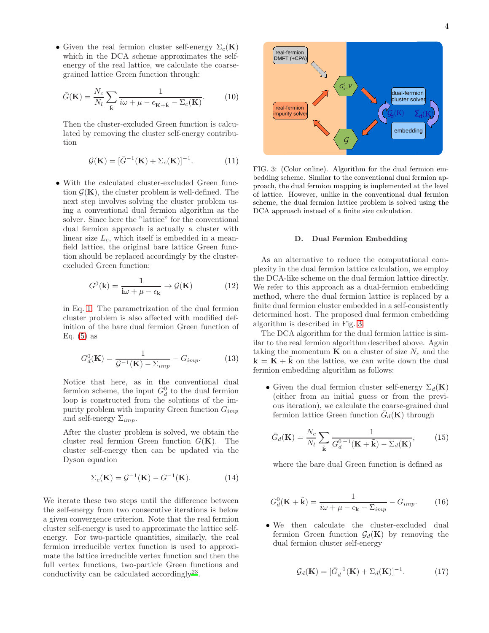• Given the real fermion cluster self-energy  $\Sigma_c(\mathbf{K})$ which in the DCA scheme approximates the selfenergy of the real lattice, we calculate the coarsegrained lattice Green function through:

<span id="page-4-1"></span>
$$
\bar{G}(\mathbf{K}) = \frac{N_c}{N_l} \sum_{\tilde{\mathbf{k}}} \frac{1}{i\omega + \mu - \epsilon_{\mathbf{K} + \tilde{\mathbf{k}}} - \Sigma_c(\mathbf{K})}.
$$
 (10)

Then the cluster-excluded Green function is calculated by removing the cluster self-energy contribution

<span id="page-4-2"></span>
$$
\mathcal{G}(\mathbf{K}) = [\bar{G}^{-1}(\mathbf{K}) + \Sigma_c(\mathbf{K})]^{-1}.
$$
 (11)

• With the calculated cluster-excluded Green function  $\mathcal{G}(\mathbf{K})$ , the cluster problem is well-defined. The next step involves solving the cluster problem using a conventional dual fermion algorithm as the solver. Since here the "lattice" for the conventional dual fermion approach is actually a cluster with linear size  $L_c$ , which itself is embedded in a meanfield lattice, the original bare lattice Green function should be replaced accordingly by the clusterexcluded Green function:

$$
G^{0}(\mathbf{k}) = \frac{1}{\mathbf{i}\omega + \mu - \epsilon_{\mathbf{k}}} \to \mathcal{G}(\mathbf{K})
$$
 (12)

in Eq. [1.](#page-2-0) The parametrization of the dual fermion cluster problem is also affected with modified definition of the bare dual fermion Green function of Eq.  $(5)$  as

<span id="page-4-3"></span>
$$
G_d^0(\mathbf{K}) = \frac{1}{\mathcal{G}^{-1}(\mathbf{K}) - \Sigma_{imp}} - G_{imp}.
$$
 (13)

Notice that here, as in the conventional dual fermion scheme, the input  $G_d^0$  to the dual fermion loop is constructed from the solutions of the impurity problem with impurity Green function  $G_{imp}$ and self-energy  $\Sigma_{imn}$ .

After the cluster problem is solved, we obtain the cluster real fermion Green function  $G(K)$ . The cluster self-energy then can be updated via the Dyson equation

$$
\Sigma_c(\mathbf{K}) = \mathcal{G}^{-1}(\mathbf{K}) - G^{-1}(\mathbf{K}).\tag{14}
$$

We iterate these two steps until the difference between the self-energy from two consecutive iterations is below a given convergence criterion. Note that the real fermion cluster self-energy is used to approximate the lattice selfenergy. For two-particle quantities, similarly, the real fermion irreducible vertex function is used to approximate the lattice irreducible vertex function and then the full vertex functions, two-particle Green functions and conductivity can be calculated accordingly<sup>[23](#page-10-18)</sup>.



<span id="page-4-0"></span>FIG. 3: (Color online). Algorithm for the dual fermion embedding scheme. Similar to the conventional dual fermion approach, the dual fermion mapping is implemented at the level of lattice. However, unlike in the conventional dual fermion scheme, the dual fermion lattice problem is solved using the DCA approach instead of a finite size calculation.

#### D. Dual Fermion Embedding

As an alternative to reduce the computational complexity in the dual fermion lattice calculation, we employ the DCA-like scheme on the dual fermion lattice directly. We refer to this approach as a dual-fermion embedding method, where the dual fermion lattice is replaced by a finite dual fermion cluster embedded in a self-consistently determined host. The proposed dual fermion embedding algorithm is described in Fig. [3.](#page-4-0)

The DCA algorithm for the dual fermion lattice is similar to the real fermion algorithm described above. Again taking the momentum **K** on a cluster of size  $N_c$  and the  $k = K + k$  on the lattice, we can write down the dual fermion embedding algorithm as follows:

• Given the dual fermion cluster self-energy  $\Sigma_d(\mathbf{K})$ (either from an initial guess or from the previous iteration), we calculate the coarse-grained dual fermion lattice Green function  $\bar{G}_d(\mathbf{K})$  through

<span id="page-4-4"></span>
$$
\bar{G}_d(\mathbf{K}) = \frac{N_c}{N_l} \sum_{\tilde{\mathbf{k}}} \frac{1}{G_d^{0-1}(\mathbf{K} + \tilde{\mathbf{k}}) - \Sigma_d(\mathbf{K})},\tag{15}
$$

where the bare dual Green function is defined as

$$
G_d^0(\mathbf{K} + \tilde{\mathbf{k}}) = \frac{1}{i\omega + \mu - \epsilon_{\mathbf{k}} - \Sigma_{imp}} - G_{imp}.
$$
 (16)

• We then calculate the cluster-excluded dual fermion Green function  $\mathcal{G}_d(K)$  by removing the dual fermion cluster self-energy

<span id="page-4-5"></span>
$$
\mathcal{G}_d(\mathbf{K}) = [\bar{G}_d^{-1}(\mathbf{K}) + \Sigma_d(\mathbf{K})]^{-1}.
$$
 (17)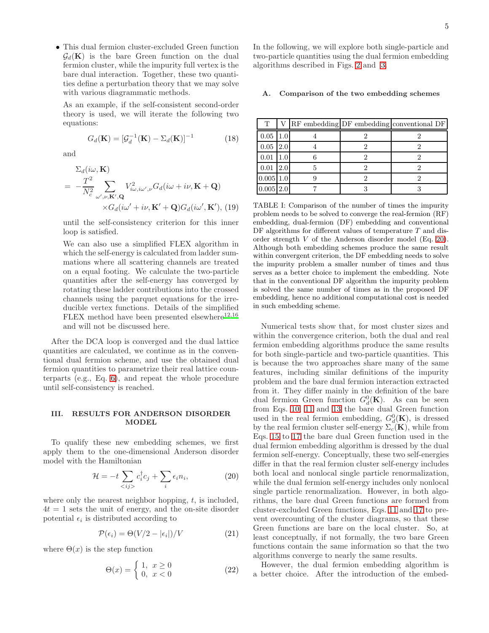• This dual fermion cluster-excluded Green function  $\mathcal{G}_d(K)$  is the bare Green function on the dual fermion cluster, while the impurity full vertex is the bare dual interaction. Together, these two quantities define a perturbation theory that we may solve with various diagrammatic methods.

As an example, if the self-consistent second-order theory is used, we will iterate the following two equations:

$$
G_d(\mathbf{K}) = [\mathcal{G}_d^{-1}(\mathbf{K}) - \Sigma_d(\mathbf{K})]^{-1}
$$
 (18)

and

$$
\Sigma_d(i\omega, \mathbf{K})
$$
\n
$$
= -\frac{T^2}{N_c^2} \sum_{\omega',\nu,\mathbf{K}',\mathbf{Q}} V_{i\omega,i\omega',\nu}^2 G_d(i\omega + i\nu, \mathbf{K} + \mathbf{Q})
$$
\n
$$
\times G_d(i\omega' + i\nu, \mathbf{K}' + \mathbf{Q}) G_d(i\omega', \mathbf{K}'), (19)
$$

until the self-consistency criterion for this inner loop is satisfied.

We can also use a simplified FLEX algorithm in which the self-energy is calculated from ladder summations where all scattering channels are treated on a equal footing. We calculate the two-particle quantities after the self-energy has converged by rotating these ladder contributions into the crossed channels using the parquet equations for the irreducible vertex functions. Details of the simplified FLEX method have been presented elsewhere<sup>[12](#page-10-8)[,16](#page-10-10)</sup> and will not be discussed here.

After the DCA loop is converged and the dual lattice quantities are calculated, we continue as in the conventional dual fermion scheme, and use the obtained dual fermion quantities to parametrize their real lattice counterparts (e.g., Eq. [6\)](#page-2-6), and repeat the whole procedure until self-consistency is reached.

## III. RESULTS FOR ANDERSON DISORDER **MODEL**

To qualify these new embedding schemes, we first apply them to the one-dimensional Anderson disorder model with the Hamiltonian

<span id="page-5-0"></span>
$$
\mathcal{H} = -t \sum_{\langle ij \rangle} c_i^{\dagger} c_j + \sum_i \epsilon_i n_i, \tag{20}
$$

where only the nearest neighbor hopping,  $t$ , is included,  $4t = 1$  sets the unit of energy, and the on-site disorder potential  $\epsilon_i$  is distributed according to

$$
\mathcal{P}(\epsilon_i) = \Theta(V/2 - |\epsilon_i|)/V \tag{21}
$$

where  $\Theta(x)$  is the step function

$$
\Theta(x) = \begin{cases} 1, & x \ge 0 \\ 0, & x < 0 \end{cases} \tag{22}
$$

In the following, we will explore both single-particle and two-particle quantities using the dual fermion embedding algorithms described in Figs. [2](#page-3-0) and [3.](#page-4-0)

## A. Comparison of the two embedding schemes

| Т                      |             |  | RF embedding DF embedding conventional DF |
|------------------------|-------------|--|-------------------------------------------|
| 0.05                   | $\vert$ 1.0 |  |                                           |
| 0.05                   | <b>2.0</b>  |  |                                           |
| 0.01                   | $1.0\,$     |  |                                           |
| 0.01                   | 2.0         |  |                                           |
| $0.005$ 1.0            |             |  |                                           |
| $0.005$ <sub>2.0</sub> |             |  |                                           |

<span id="page-5-1"></span>TABLE I: Comparison of the number of times the impurity problem needs to be solved to converge the real-fermion (RF) embedding, dual-fermion (DF) embedding and conventional  $DF$  algorithms for different values of temperature  $T$  and disorder strength V of the Anderson disorder model (Eq. [20\)](#page-5-0). Although both embedding schemes produce the same result within convergent criterion, the DF embedding needs to solve the impurity problem a smaller number of times and thus serves as a better choice to implement the embedding. Note that in the conventional DF algorithm the impurity problem is solved the same number of times as in the proposed DF embedding, hence no additional computational cost is needed in such embedding scheme.

Numerical tests show that, for most cluster sizes and within the convergence criterion, both the dual and real fermion embedding algorithms produce the same results for both single-particle and two-particle quantities. This is because the two approaches share many of the same features, including similar definitions of the impurity problem and the bare dual fermion interaction extracted from it. They differ mainly in the definition of the bare dual fermion Green function  $G_d^0(\mathbf{K})$ . As can be seen from Eqs. [10,](#page-4-1) [11](#page-4-2) and [13](#page-4-3) the bare dual Green function used in the real fermion embedding,  $G_d^0(\mathbf{K})$ , is dressed by the real fermion cluster self-energy  $\Sigma_c(\mathbf{K})$ , while from Eqs. [15](#page-4-4) to [17](#page-4-5) the bare dual Green function used in the dual fermion embedding algorithm is dressed by the dual fermion self-energy. Conceptually, these two self-energies differ in that the real fermion cluster self-energy includes both local and nonlocal single particle renormalization, while the dual fermion self-energy includes only nonlocal single particle renormalization. However, in both algorithms, the bare dual Green functions are formed from cluster-excluded Green functions, Eqs. [11](#page-4-2) and [17](#page-4-5) to prevent overcounting of the cluster diagrams, so that these Green functions are bare on the local cluster. So, at least conceptually, if not formally, the two bare Green functions contain the same information so that the two algorithms converge to nearly the same results.

However, the dual fermion embedding algorithm is a better choice. After the introduction of the embed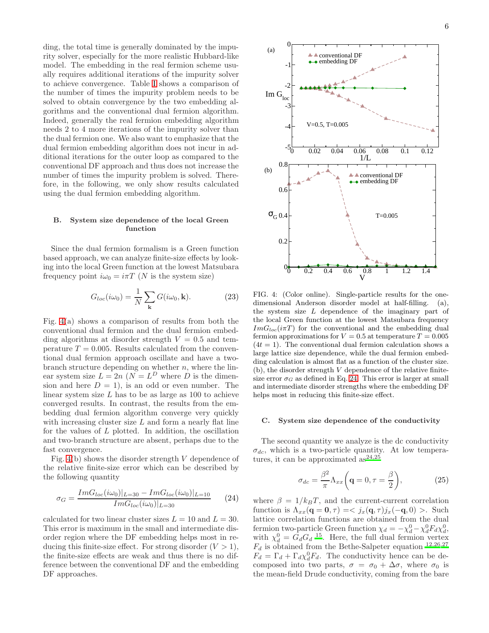ding, the total time is generally dominated by the impurity solver, especially for the more realistic Hubbard-like model. The embedding in the real fermion scheme usually requires additional iterations of the impurity solver to achieve convergence. Table [I](#page-5-1) shows a comparison of the number of times the impurity problem needs to be solved to obtain convergence by the two embedding algorithms and the conventional dual fermion algorithm. Indeed, generally the real fermion embedding algorithm needs 2 to 4 more iterations of the impurity solver than the dual fermion one. We also want to emphasize that the dual fermion embedding algorithm does not incur in additional iterations for the outer loop as compared to the conventional DF approach and thus does not increase the number of times the impurity problem is solved. Therefore, in the following, we only show results calculated using the dual fermion embedding algorithm.

## B. System size dependence of the local Green function

Since the dual fermion formalism is a Green function based approach, we can analyze finite-size effects by looking into the local Green function at the lowest Matsubara frequency point  $i\omega_0 = i\pi T$  (N is the system size)

<span id="page-6-2"></span>
$$
G_{loc}(i\omega_0) = \frac{1}{N} \sum_{\mathbf{k}} G(i\omega_0, \mathbf{k}).
$$
 (23)

Fig. [4\(](#page-6-0)a) shows a comparison of results from both the conventional dual fermion and the dual fermion embedding algorithms at disorder strength  $V = 0.5$  and temperature  $T = 0.005$ . Results calculated from the conventional dual fermion approach oscillate and have a twobranch structure depending on whether  $n$ , where the linear system size  $L = 2n$  ( $N = L^D$  where D is the dimension and here  $D = 1$ , is an odd or even number. The linear system size  $L$  has to be as large as 100 to achieve converged results. In contrast, the results from the embedding dual fermion algorithm converge very quickly with increasing cluster size  $L$  and form a nearly flat line for the values of  $L$  plotted. In addition, the oscillation and two-branch structure are absent, perhaps due to the fast convergence.

Fig.  $4(b)$  $4(b)$  shows the disorder strength V dependence of the relative finite-size error which can be described by the following quantity

<span id="page-6-1"></span>
$$
\sigma_G = \frac{ImG_{loc}(i\omega_0)|_{L=30} - ImG_{loc}(i\omega_0)|_{L=10}}{ImG_{loc}(i\omega_0)|_{L=30}} \qquad (24)
$$

calculated for two linear cluster sizes  $L = 10$  and  $L = 30$ . This error is maximum in the small and intermediate disorder region where the DF embedding helps most in reducing this finite-size effect. For strong disorder  $(V > 1)$ , the finite-size effects are weak and thus there is no difference between the conventional DF and the embedding DF approaches.



6



<span id="page-6-0"></span>FIG. 4: (Color online). Single-particle results for the onedimensional Anderson disorder model at half-filling. (a), the system size  $L$  dependence of the imaginary part of the local Green function at the lowest Matsubara frequency  $ImG_{loc}(i\pi T)$  for the conventional and the embedding dual fermion approximations for  $V = 0.5$  at temperature  $T = 0.005$  $(4t = 1)$ . The conventional dual fermion calculation shows a large lattice size dependence, while the dual fermion embedding calculation is almost flat as a function of the cluster size.  $(b)$ , the disorder strength  $V$  dependence of the relative finitesize error  $\sigma_G$  as defined in Eq. [24.](#page-6-1) This error is larger at small and intermediate disorder strengths where the embedding DF helps most in reducing this finite-size effect.

#### C. System size dependence of the conductivity

The second quantity we analyze is the dc conductivity  $\sigma_{dc}$ , which is a two-particle quantity. At low temperatures, it can be approximated  $as^{24,25}$  $as^{24,25}$  $as^{24,25}$  $as^{24,25}$ 

$$
\sigma_{dc} = \frac{\beta^2}{\pi} \Lambda_{xx} \bigg( \mathbf{q} = 0, \tau = \frac{\beta}{2} \bigg), \tag{25}
$$

where  $\beta = 1/k_BT$ , and the current-current correlation function is  $\Lambda_{xx}(\mathbf{q}=0,\tau) = \langle j_x(\mathbf{q},\tau)j_x(-\mathbf{q},0) \rangle$ . Such lattice correlation functions are obtained from the dual fermion two-particle Green function  $\chi_d = -\chi_d^0 - \chi_d^0 F_d \chi_d^0$ , with  $\chi_d^0 = G_d G_d^{15}$  $\chi_d^0 = G_d G_d^{15}$  $\chi_d^0 = G_d G_d^{15}$ . Here, the full dual fermion vertex  $F_d$  is obtained from the Bethe-Salpeter equation  $^{12,26,27}$  $^{12,26,27}$  $^{12,26,27}$  $^{12,26,27}$  $^{12,26,27}$  $F_d = \Gamma_d + \Gamma_d \chi_d^0 F_d$ . The conductivity hence can be decomposed into two parts,  $\sigma = \sigma_0 + \Delta \sigma$ , where  $\sigma_0$  is the mean-field Drude conductivity, coming from the bare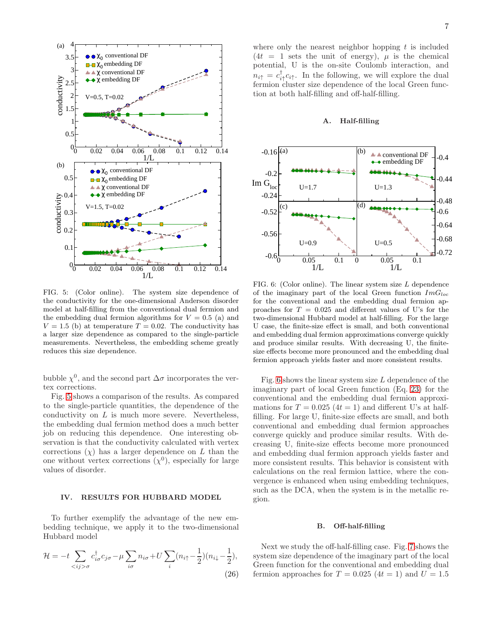

<span id="page-7-0"></span>FIG. 5: (Color online). The system size dependence of the conductivity for the one-dimensional Anderson disorder model at half-filling from the conventional dual fermion and the embedding dual fermion algorithms for  $V = 0.5$  (a) and  $V = 1.5$  (b) at temperature  $T = 0.02$ . The conductivity has a larger size dependence as compared to the single-particle measurements. Nevertheless, the embedding scheme greatly reduces this size dependence.

bubble  $\chi^0$ , and the second part  $\Delta \sigma$  incorporates the vertex corrections.

Fig. [5](#page-7-0) shows a comparison of the results. As compared to the single-particle quantities, the dependence of the conductivity on  $L$  is much more severe. Nevertheless, the embedding dual fermion method does a much better job on reducing this dependence. One interesting observation is that the conductivity calculated with vertex corrections  $(\chi)$  has a larger dependence on L than the one without vertex corrections  $(\chi^0)$ , especially for large values of disorder.

#### IV. RESULTS FOR HUBBARD MODEL

To further exemplify the advantage of the new embedding technique, we apply it to the two-dimensional Hubbard model

$$
\mathcal{H} = -t \sum_{\langle ij \rangle \sigma} c_{i\sigma}^{\dagger} c_{j\sigma} - \mu \sum_{i\sigma} n_{i\sigma} + U \sum_{i} (n_{i\uparrow} - \frac{1}{2}) (n_{i\downarrow} - \frac{1}{2}),
$$
\n(26)

where only the nearest neighbor hopping  $t$  is included  $(4t = 1$  sets the unit of energy),  $\mu$  is the chemical potential, U is the on-site Coulomb interaction, and  $n_{i\uparrow} = c_{i\uparrow}^{\dagger} c_{i\uparrow}$ . In the following, we will explore the dual fermion cluster size dependence of the local Green function at both half-filling and off-half-filling.

#### A. Half-filling



<span id="page-7-1"></span>FIG. 6: (Color online). The linear system size  $L$  dependence of the imaginary part of the local Green function  $ImG_{loc}$ for the conventional and the embedding dual fermion approaches for  $T = 0.025$  and different values of U's for the two-dimensional Hubbard model at half-filling. For the large U case, the finite-size effect is small, and both conventional and embedding dual fermion approximations converge quickly and produce similar results. With decreasing U, the finitesize effects become more pronounced and the embedding dual fermion approach yields faster and more consistent results.

Fig. [6](#page-7-1) shows the linear system size  $L$  dependence of the imaginary part of local Green function (Eq. [23\)](#page-6-2) for the conventional and the embedding dual fermion approximations for  $T = 0.025$  (4t = 1) and different U's at halffilling. For large U, finite-size effects are small, and both conventional and embedding dual fermion approaches converge quickly and produce similar results. With decreasing U, finite-size effects become more pronounced and embedding dual fermion approach yields faster and more consistent results. This behavior is consistent with calculations on the real fermion lattice, where the convergence is enhanced when using embedding techniques, such as the DCA, when the system is in the metallic region.

#### B. Off-half-filling

Next we study the off-half-filling case. Fig. [7](#page-8-0) shows the system size dependence of the imaginary part of the local Green function for the conventional and embedding dual fermion approaches for  $T = 0.025$  (4t = 1) and  $U = 1.5$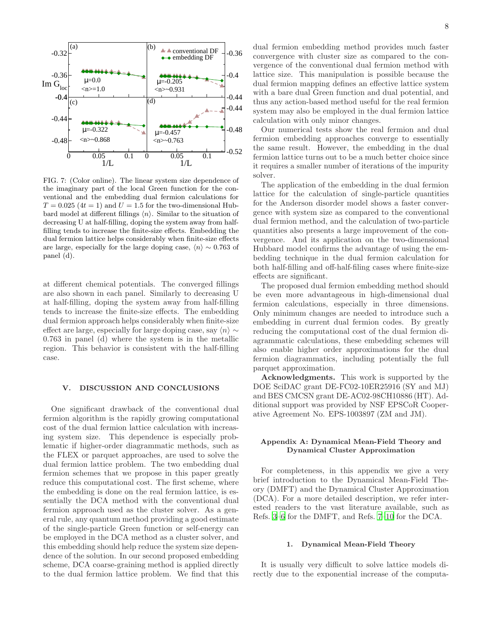

<span id="page-8-0"></span>FIG. 7: (Color online). The linear system size dependence of the imaginary part of the local Green function for the conventional and the embedding dual fermion calculations for  $T = 0.025$  (4t = 1) and  $U = 1.5$  for the two-dimensional Hubbard model at different fillings  $\langle n \rangle$ . Similar to the situation of decreasing U at half-filling, doping the system away from halffilling tends to increase the finite-size effects. Embedding the dual fermion lattice helps considerably when finite-size effects are large, especially for the large doping case,  $\langle n \rangle \sim 0.763$  of panel (d).

at different chemical potentials. The converged fillings are also shown in each panel. Similarly to decreasing U at half-filling, doping the system away from half-filling tends to increase the finite-size effects. The embedding dual fermion approach helps considerably when finite-size effect are large, especially for large doping case, say  $\langle n \rangle \sim$ 0.763 in panel (d) where the system is in the metallic region. This behavior is consistent with the half-filling case.

#### V. DISCUSSION AND CONCLUSIONS

One significant drawback of the conventional dual fermion algorithm is the rapidly growing computational cost of the dual fermion lattice calculation with increasing system size. This dependence is especially problematic if higher-order diagrammatic methods, such as the FLEX or parquet approaches, are used to solve the dual fermion lattice problem. The two embedding dual fermion schemes that we propose in this paper greatly reduce this computational cost. The first scheme, where the embedding is done on the real fermion lattice, is essentially the DCA method with the conventional dual fermion approach used as the cluster solver. As a general rule, any quantum method providing a good estimate of the single-particle Green function or self-energy can be employed in the DCA method as a cluster solver, and this embedding should help reduce the system size dependence of the solution. In our second proposed embedding scheme, DCA coarse-graining method is applied directly to the dual fermion lattice problem. We find that this

dual fermion embedding method provides much faster convergence with cluster size as compared to the convergence of the conventional dual fermion method with lattice size. This manipulation is possible because the dual fermion mapping defines an effective lattice system with a bare dual Green function and dual potential, and thus any action-based method useful for the real fermion system may also be employed in the dual fermion lattice calculation with only minor changes.

Our numerical tests show the real fermion and dual fermion embedding approaches converge to essentially the same result. However, the embedding in the dual fermion lattice turns out to be a much better choice since it requires a smaller number of iterations of the impurity solver.

The application of the embedding in the dual fermion lattice for the calculation of single-particle quantities for the Anderson disorder model shows a faster convergence with system size as compared to the conventional dual fermion method, and the calculation of two-particle quantities also presents a large improvement of the convergence. And its application on the two-dimensional Hubbard model confirms the advantage of using the embedding technique in the dual fermion calculation for both half-filling and off-half-filing cases where finite-size effects are significant.

The proposed dual fermion embedding method should be even more advantageous in high-dimensional dual fermion calculations, especially in three dimensions. Only minimum changes are needed to introduce such a embedding in current dual fermion codes. By greatly reducing the computational cost of the dual fermion diagrammatic calculations, these embedding schemes will also enable higher order approximations for the dual fermion diagrammatics, including potentially the full parquet approximation.

Acknowledgments. This work is supported by the DOE SciDAC grant DE-FC02-10ER25916 (SY and MJ) and BES CMCSN grant DE-AC02-98CH10886 (HT). Additional support was provided by NSF EPSCoR Cooperative Agreement No. EPS-1003897 (ZM and JM).

## Appendix A: Dynamical Mean-Field Theory and Dynamical Cluster Approximation

For completeness, in this appendix we give a very brief introduction to the Dynamical Mean-Field Theory (DMFT) and the Dynamical Cluster Approximation (DCA). For a more detailed description, we refer interested readers to the vast literature available, such as Refs. [3](#page-10-3)[–6](#page-10-4) for the DMFT, and Refs. [7](#page-10-5)[–10](#page-10-6) for the DCA.

#### 1. Dynamical Mean-Field Theory

It is usually very difficult to solve lattice models directly due to the exponential increase of the computa-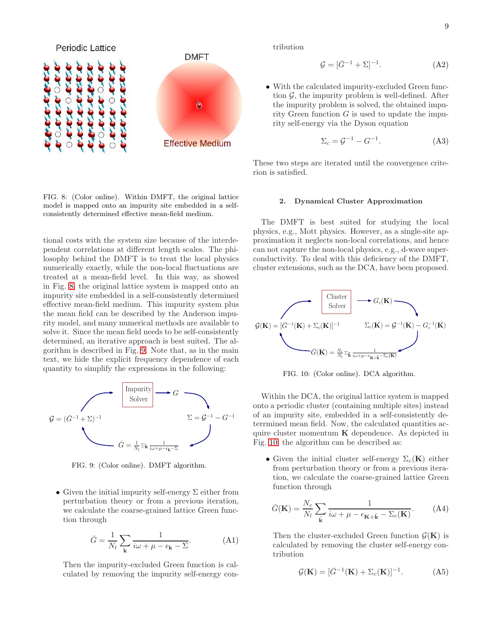

<span id="page-9-0"></span>FIG. 8: (Color online). Within DMFT, the original lattice model is mapped onto an impurity site embedded in a selfconsistently determined effective mean-field medium.

tional costs with the system size because of the interdependent correlations at different length scales. The philosophy behind the DMFT is to treat the local physics numerically exactly, while the non-local fluctuations are treated at a mean-field level. In this way, as showed in Fig. [8,](#page-9-0) the original lattice system is mapped onto an impurity site embedded in a self-consistently determined effective mean-field medium. This impurity system plus the mean field can be described by the Anderson impurity model, and many numerical methods are available to solve it. Since the mean field needs to be self-consistently determined, an iterative approach is best suited. The algorithm is described in Fig. [9.](#page-9-1) Note that, as in the main text, we hide the explicit frequency dependence of each quantity to simplify the expressions in the following:



<span id="page-9-1"></span>FIG. 9: (Color online). DMFT algorithm.

• Given the initial impurity self-energy  $\Sigma$  either from perturbation theory or from a previous iteration, we calculate the coarse-grained lattice Green function through

$$
\bar{G} = \frac{1}{N_l} \sum_{\mathbf{k}} \frac{1}{i\omega + \mu - \epsilon_{\mathbf{k}} - \Sigma}.
$$
 (A1)

Then the impurity-excluded Green function is calculated by removing the impurity self-energy contribution

$$
\mathcal{G} = [\bar{G}^{-1} + \Sigma]^{-1}.
$$
 (A2)

• With the calculated impurity-excluded Green function  $\mathcal{G}$ , the impurity problem is well-defined. After the impurity problem is solved, the obtained impurity Green function  $G$  is used to update the impurity self-energy via the Dyson equation

$$
\Sigma_c = \mathcal{G}^{-1} - G^{-1}.\tag{A3}
$$

These two steps are iterated until the convergence criterion is satisfied.

## 2. Dynamical Cluster Approximation

The DMFT is best suited for studying the local physics, e.g., Mott physics. However, as a single-site approximation it neglects non-local correlations, and hence can not capture the non-local physics, e.g., d-wave superconductivity. To deal with this deficiency of the DMFT, cluster extensions, such as the DCA, have been proposed.



<span id="page-9-2"></span>FIG. 10: (Color online). DCA algorithm.

Within the DCA, the original lattice system is mapped onto a periodic cluster (containing multiple sites) instead of an impurity site, embedded in a self-consistently deterrmined mean field. Now, the calculated quantities acquire cluster momentum K dependence. As depicted in Fig. [10,](#page-9-2) the algorithm can be described as:

• Given the initial cluster self-energy  $\Sigma_c(\mathbf{K})$  either from perturbation theory or from a previous iteration, we calculate the coarse-grained lattice Green function through

$$
\bar{G}(\mathbf{K}) = \frac{N_c}{N_l} \sum_{\tilde{\mathbf{k}}} \frac{1}{i\omega + \mu - \epsilon_{\mathbf{K} + \tilde{\mathbf{k}}} - \Sigma_c(\mathbf{K})}.
$$
 (A4)

Then the cluster-excluded Green function  $\mathcal{G}(\mathbf{K})$  is calculated by removing the cluster self-energy contribution

$$
\mathcal{G}(\mathbf{K}) = [\bar{G}^{-1}(\mathbf{K}) + \Sigma_c(\mathbf{K})]^{-1}.
$$
 (A5)